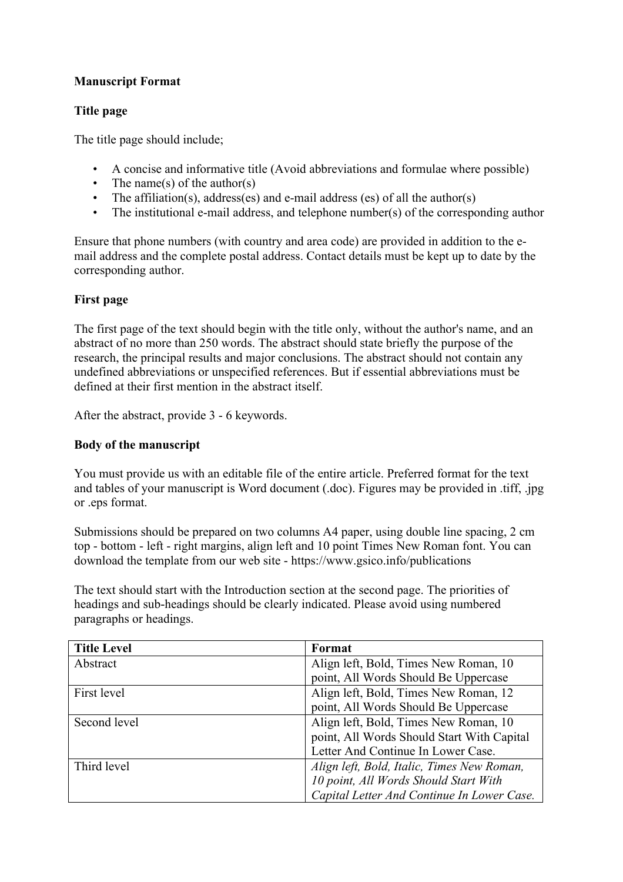# **Manuscript Format**

## **Title page**

The title page should include;

- A concise and informative title (Avoid abbreviations and formulae where possible)
- The name(s) of the author(s)
- The affiliation(s), address(es) and e-mail address (es) of all the author(s)
- The institutional e-mail address, and telephone number(s) of the corresponding author

Ensure that phone numbers (with country and area code) are provided in addition to the email address and the complete postal address. Contact details must be kept up to date by the corresponding author.

# **First page**

The first page of the text should begin with the title only, without the author's name, and an abstract of no more than 250 words. The abstract should state briefly the purpose of the research, the principal results and major conclusions. The abstract should not contain any undefined abbreviations or unspecified references. But if essential abbreviations must be defined at their first mention in the abstract itself.

After the abstract, provide 3 - 6 keywords.

## **Body of the manuscript**

You must provide us with an editable file of the entire article. Preferred format for the text and tables of your manuscript is Word document (.doc). Figures may be provided in .tiff, .jpg or .eps format.

Submissions should be prepared on two columns A4 paper, using double line spacing, 2 cm top - bottom - left - right margins, align left and 10 point Times New Roman font. You can download the template from our web site - https://www.gsico.info/publications

The text should start with the Introduction section at the second page. The priorities of headings and sub-headings should be clearly indicated. Please avoid using numbered paragraphs or headings.

| <b>Title Level</b> | Format                                     |
|--------------------|--------------------------------------------|
| Abstract           | Align left, Bold, Times New Roman, 10      |
|                    | point, All Words Should Be Uppercase       |
| First level        | Align left, Bold, Times New Roman, 12      |
|                    | point, All Words Should Be Uppercase       |
| Second level       | Align left, Bold, Times New Roman, 10      |
|                    | point, All Words Should Start With Capital |
|                    | Letter And Continue In Lower Case.         |
| Third level        | Align left, Bold, Italic, Times New Roman, |
|                    | 10 point, All Words Should Start With      |
|                    | Capital Letter And Continue In Lower Case. |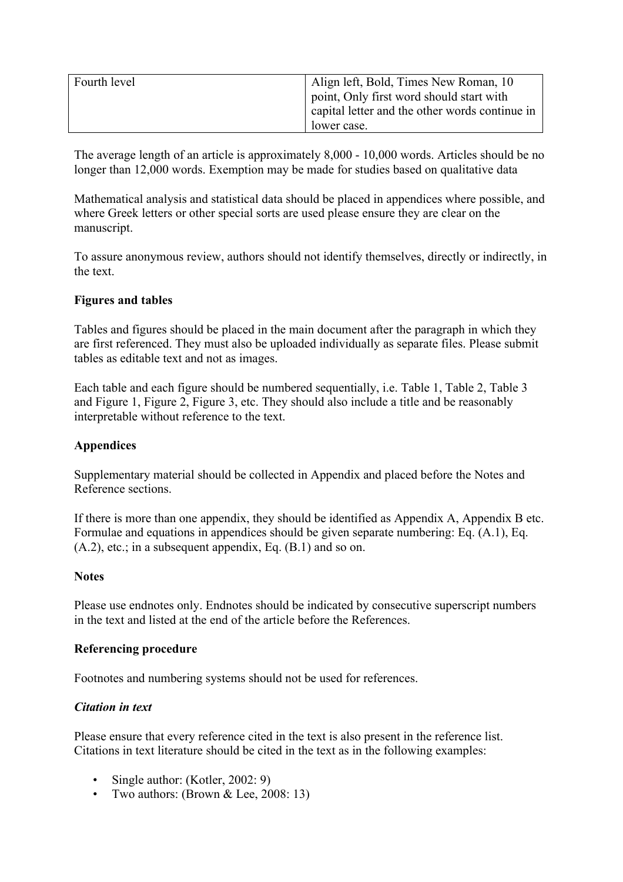| Fourth level | Align left, Bold, Times New Roman, 10          |
|--------------|------------------------------------------------|
|              | point, Only first word should start with       |
|              | capital letter and the other words continue in |
|              | lower case.                                    |

The average length of an article is approximately 8,000 - 10,000 words. Articles should be no longer than 12,000 words. Exemption may be made for studies based on qualitative data

Mathematical analysis and statistical data should be placed in appendices where possible, and where Greek letters or other special sorts are used please ensure they are clear on the manuscript.

To assure anonymous review, authors should not identify themselves, directly or indirectly, in the text.

### **Figures and tables**

Tables and figures should be placed in the main document after the paragraph in which they are first referenced. They must also be uploaded individually as separate files. Please submit tables as editable text and not as images.

Each table and each figure should be numbered sequentially, i.e. Table 1, Table 2, Table 3 and Figure 1, Figure 2, Figure 3, etc. They should also include a title and be reasonably interpretable without reference to the text.

## **Appendices**

Supplementary material should be collected in Appendix and placed before the Notes and Reference sections.

If there is more than one appendix, they should be identified as Appendix A, Appendix B etc. Formulae and equations in appendices should be given separate numbering: Eq. (A.1), Eq.  $(A.2)$ , etc.; in a subsequent appendix, Eq.  $(B.1)$  and so on.

#### **Notes**

Please use endnotes only. Endnotes should be indicated by consecutive superscript numbers in the text and listed at the end of the article before the References.

#### **Referencing procedure**

Footnotes and numbering systems should not be used for references.

#### *Citation in text*

Please ensure that every reference cited in the text is also present in the reference list. Citations in text literature should be cited in the text as in the following examples:

- Single author: (Kotler, 2002: 9)
- Two authors: (Brown & Lee, 2008: 13)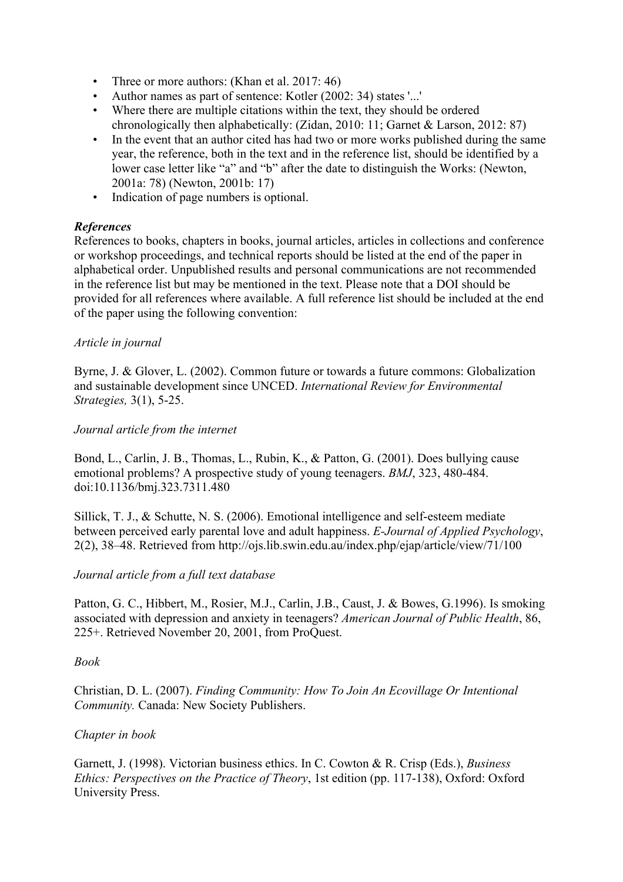- Three or more authors: (Khan et al. 2017: 46)
- Author names as part of sentence: Kotler (2002: 34) states '...'
- Where there are multiple citations within the text, they should be ordered chronologically then alphabetically: (Zidan, 2010: 11; Garnet & Larson, 2012: 87)
- In the event that an author cited has had two or more works published during the same year, the reference, both in the text and in the reference list, should be identified by a lower case letter like "a" and "b" after the date to distinguish the Works: (Newton, 2001a: 78) (Newton, 2001b: 17)
- Indication of page numbers is optional.

## *References*

References to books, chapters in books, journal articles, articles in collections and conference or workshop proceedings, and technical reports should be listed at the end of the paper in alphabetical order. Unpublished results and personal communications are not recommended in the reference list but may be mentioned in the text. Please note that a DOI should be provided for all references where available. A full reference list should be included at the end of the paper using the following convention:

### *Article in journal*

Byrne, J. & Glover, L. (2002). Common future or towards a future commons: Globalization and sustainable development since UNCED. *International Review for Environmental Strategies,* 3(1), 5-25.

### *Journal article from the internet*

Bond, L., Carlin, J. B., Thomas, L., Rubin, K., & Patton, G. (2001). Does bullying cause emotional problems? A prospective study of young teenagers. *BMJ*, 323, 480-484. doi:10.1136/bmj.323.7311.480

Sillick, T. J., & Schutte, N. S. (2006). Emotional intelligence and self-esteem mediate between perceived early parental love and adult happiness. *E-Journal of Applied Psychology*, 2(2), 38–48. Retrieved from http://ojs.lib.swin.edu.au/index.php/ejap/article/view/71/100

## *Journal article from a full text database*

Patton, G. C., Hibbert, M., Rosier, M.J., Carlin, J.B., Caust, J. & Bowes, G.1996). Is smoking associated with depression and anxiety in teenagers? *American Journal of Public Health*, 86, 225+. Retrieved November 20, 2001, from ProQuest.

#### *Book*

Christian, D. L. (2007). *Finding Community: How To Join An Ecovillage Or Intentional Community.* Canada: New Society Publishers.

## *Chapter in book*

Garnett, J. (1998). Victorian business ethics. In C. Cowton & R. Crisp (Eds.), *Business Ethics: Perspectives on the Practice of Theory*, 1st edition (pp. 117-138), Oxford: Oxford University Press.